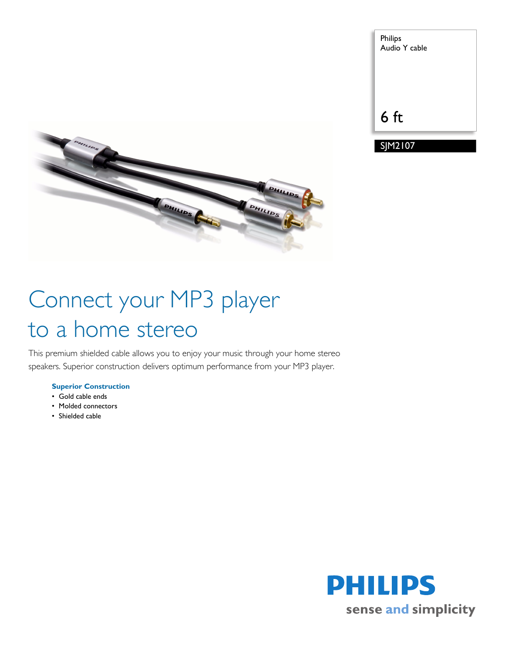



# Connect your MP3 player to a home stereo

This premium shielded cable allows you to enjoy your music through your home stereo speakers. Superior construction delivers optimum performance from your MP3 player.

# **Superior Construction**

- Gold cable ends
- Molded connectors
- Shielded cable